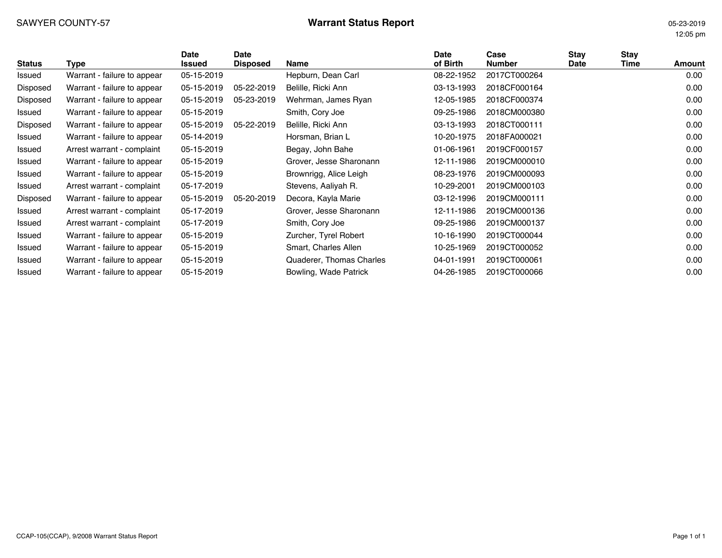# SAWYER COUNTY-57 **Warrant Status Report Warrant Status Report** 05-23-2019

12:05 pm

| <b>Status</b> | Type                        | Date<br><b>Issued</b> | Date<br><b>Disposed</b> | <b>Name</b>              | Date<br>of Birth | Case<br>Number | <b>Stay</b><br>Date | Stay<br>Time | Amount |
|---------------|-----------------------------|-----------------------|-------------------------|--------------------------|------------------|----------------|---------------------|--------------|--------|
| Issued        | Warrant - failure to appear | 05-15-2019            |                         | Hepburn, Dean Carl       | 08-22-1952       | 2017CT000264   |                     |              | 0.00   |
| Disposed      | Warrant - failure to appear | 05-15-2019            | 05-22-2019              | Belille, Ricki Ann       | 03-13-1993       | 2018CF000164   |                     |              | 0.00   |
| Disposed      | Warrant - failure to appear | 05-15-2019            | 05-23-2019              | Wehrman, James Ryan      | 12-05-1985       | 2018CF000374   |                     |              | 0.00   |
| Issued        | Warrant - failure to appear | 05-15-2019            |                         | Smith, Cory Joe          | 09-25-1986       | 2018CM000380   |                     |              | 0.00   |
| Disposed      | Warrant - failure to appear | 05-15-2019            | 05-22-2019              | Belille, Ricki Ann       | 03-13-1993       | 2018CT000111   |                     |              | 0.00   |
| Issued        | Warrant - failure to appear | 05-14-2019            |                         | Horsman, Brian L         | 10-20-1975       | 2018FA000021   |                     |              | 0.00   |
| Issued        | Arrest warrant - complaint  | 05-15-2019            |                         | Begay, John Bahe         | 01-06-1961       | 2019CF000157   |                     |              | 0.00   |
| Issued        | Warrant - failure to appear | 05-15-2019            |                         | Grover, Jesse Sharonann  | 12-11-1986       | 2019CM000010   |                     |              | 0.00   |
| Issued        | Warrant - failure to appear | 05-15-2019            |                         | Brownrigg, Alice Leigh   | 08-23-1976       | 2019CM000093   |                     |              | 0.00   |
| Issued        | Arrest warrant - complaint  | 05-17-2019            |                         | Stevens, Aaliyah R.      | 10-29-2001       | 2019CM000103   |                     |              | 0.00   |
| Disposed      | Warrant - failure to appear | 05-15-2019            | 05-20-2019              | Decora, Kayla Marie      | 03-12-1996       | 2019CM000111   |                     |              | 0.00   |
| Issued        | Arrest warrant - complaint  | 05-17-2019            |                         | Grover, Jesse Sharonann  | 12-11-1986       | 2019CM000136   |                     |              | 0.00   |
| Issued        | Arrest warrant - complaint  | 05-17-2019            |                         | Smith, Cory Joe          | 09-25-1986       | 2019CM000137   |                     |              | 0.00   |
| Issued        | Warrant - failure to appear | 05-15-2019            |                         | Zurcher, Tyrel Robert    | 10-16-1990       | 2019CT000044   |                     |              | 0.00   |
| Issued        | Warrant - failure to appear | 05-15-2019            |                         | Smart, Charles Allen     | 10-25-1969       | 2019CT000052   |                     |              | 0.00   |
| Issued        | Warrant - failure to appear | 05-15-2019            |                         | Quaderer, Thomas Charles | 04-01-1991       | 2019CT000061   |                     |              | 0.00   |
| Issued        | Warrant - failure to appear | 05-15-2019            |                         | Bowling, Wade Patrick    | 04-26-1985       | 2019CT000066   |                     |              | 0.00   |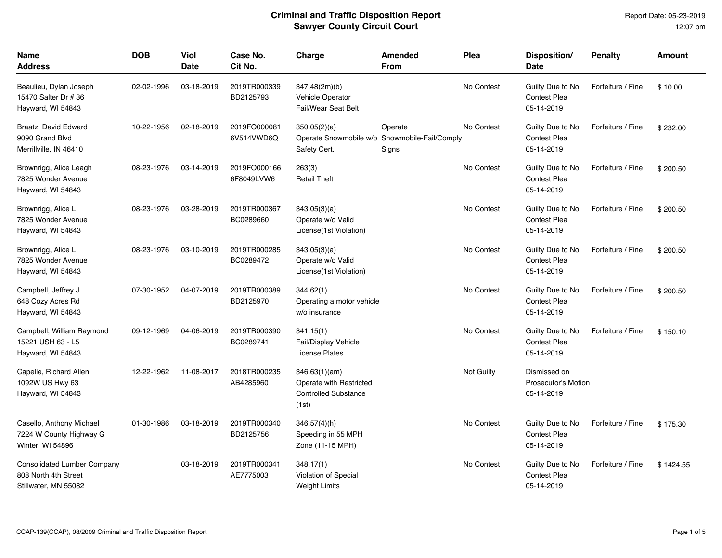| <b>Name</b><br>Address                                                             | <b>DOB</b> | Viol<br><b>Date</b> | Case No.<br>Cit No.        | Charge                                                                           | Amended<br><b>From</b> | Plea       | Disposition/<br><b>Date</b>                              | <b>Penalty</b>    | <b>Amount</b> |
|------------------------------------------------------------------------------------|------------|---------------------|----------------------------|----------------------------------------------------------------------------------|------------------------|------------|----------------------------------------------------------|-------------------|---------------|
| Beaulieu, Dylan Joseph<br>15470 Salter Dr # 36<br>Hayward, WI 54843                | 02-02-1996 | 03-18-2019          | 2019TR000339<br>BD2125793  | 347.48(2m)(b)<br><b>Vehicle Operator</b><br><b>Fail/Wear Seat Belt</b>           |                        | No Contest | Guilty Due to No<br><b>Contest Plea</b><br>05-14-2019    | Forfeiture / Fine | \$10.00       |
| Braatz, David Edward<br>9090 Grand Blvd<br>Merrillville, IN 46410                  | 10-22-1956 | 02-18-2019          | 2019FO000081<br>6V514VWD6Q | 350.05(2)(a)<br>Operate Snowmobile w/o Snowmobile-Fail/Comply<br>Safety Cert.    | Operate<br>Signs       | No Contest | Guilty Due to No<br><b>Contest Plea</b><br>05-14-2019    | Forfeiture / Fine | \$232.00      |
| Brownrigg, Alice Leagh<br>7825 Wonder Avenue<br>Hayward, WI 54843                  | 08-23-1976 | 03-14-2019          | 2019FO000166<br>6F8049LVW6 | 263(3)<br><b>Retail Theft</b>                                                    |                        | No Contest | Guilty Due to No<br><b>Contest Plea</b><br>05-14-2019    | Forfeiture / Fine | \$200.50      |
| Brownrigg, Alice L<br>7825 Wonder Avenue<br>Hayward, WI 54843                      | 08-23-1976 | 03-28-2019          | 2019TR000367<br>BC0289660  | 343.05(3)(a)<br>Operate w/o Valid<br>License(1st Violation)                      |                        | No Contest | Guilty Due to No<br><b>Contest Plea</b><br>05-14-2019    | Forfeiture / Fine | \$200.50      |
| Brownrigg, Alice L<br>7825 Wonder Avenue<br>Hayward, WI 54843                      | 08-23-1976 | 03-10-2019          | 2019TR000285<br>BC0289472  | 343.05(3)(a)<br>Operate w/o Valid<br>License (1st Violation)                     |                        | No Contest | Guilty Due to No<br><b>Contest Plea</b><br>05-14-2019    | Forfeiture / Fine | \$200.50      |
| Campbell, Jeffrey J<br>648 Cozy Acres Rd<br>Hayward, WI 54843                      | 07-30-1952 | 04-07-2019          | 2019TR000389<br>BD2125970  | 344.62(1)<br>Operating a motor vehicle<br>w/o insurance                          |                        | No Contest | Guilty Due to No<br><b>Contest Plea</b><br>05-14-2019    | Forfeiture / Fine | \$200.50      |
| Campbell, William Raymond<br>15221 USH 63 - L5<br>Hayward, WI 54843                | 09-12-1969 | 04-06-2019          | 2019TR000390<br>BC0289741  | 341.15(1)<br><b>Fail/Display Vehicle</b><br><b>License Plates</b>                |                        | No Contest | Guilty Due to No<br>Contest Plea<br>05-14-2019           | Forfeiture / Fine | \$150.10      |
| Capelle, Richard Allen<br>1092W US Hwy 63<br>Hayward, WI 54843                     | 12-22-1962 | 11-08-2017          | 2018TR000235<br>AB4285960  | 346.63(1)(am)<br>Operate with Restricted<br><b>Controlled Substance</b><br>(1st) |                        | Not Guilty | Dismissed on<br><b>Prosecutor's Motion</b><br>05-14-2019 |                   |               |
| Casello, Anthony Michael<br>7224 W County Highway G<br>Winter, WI 54896            | 01-30-1986 | 03-18-2019          | 2019TR000340<br>BD2125756  | 346.57(4)(h)<br>Speeding in 55 MPH<br>Zone (11-15 MPH)                           |                        | No Contest | Guilty Due to No<br>Contest Plea<br>05-14-2019           | Forfeiture / Fine | \$175.30      |
| <b>Consolidated Lumber Company</b><br>808 North 4th Street<br>Stillwater, MN 55082 |            | 03-18-2019          | 2019TR000341<br>AE7775003  | 348.17(1)<br>Violation of Special<br><b>Weight Limits</b>                        |                        | No Contest | Guilty Due to No<br><b>Contest Plea</b><br>05-14-2019    | Forfeiture / Fine | \$1424.55     |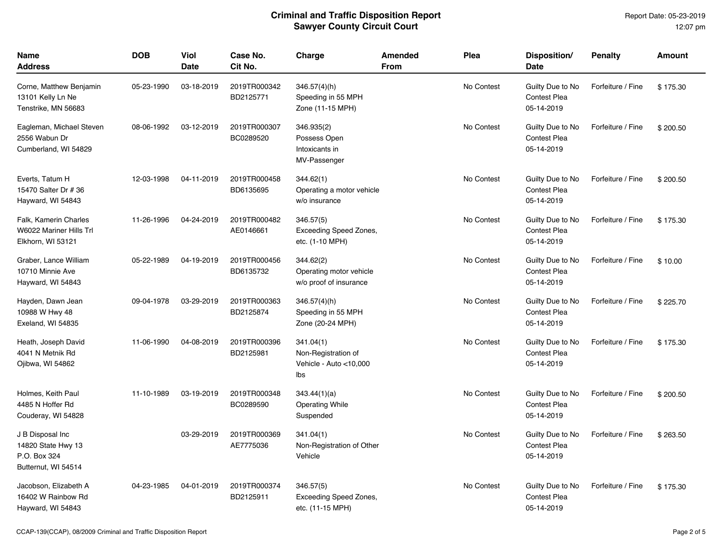| Name<br>Address                                                               | <b>DOB</b> | Viol<br><b>Date</b> | Case No.<br>Cit No.       | Charge                                                            | Amended<br>From | Plea       | Disposition/<br>Date                                  | <b>Penalty</b>    | Amount   |
|-------------------------------------------------------------------------------|------------|---------------------|---------------------------|-------------------------------------------------------------------|-----------------|------------|-------------------------------------------------------|-------------------|----------|
| Corne, Matthew Benjamin<br>13101 Kelly Ln Ne<br>Tenstrike, MN 56683           | 05-23-1990 | 03-18-2019          | 2019TR000342<br>BD2125771 | 346.57(4)(h)<br>Speeding in 55 MPH<br>Zone (11-15 MPH)            |                 | No Contest | Guilty Due to No<br><b>Contest Plea</b><br>05-14-2019 | Forfeiture / Fine | \$175.30 |
| Eagleman, Michael Steven<br>2556 Wabun Dr<br>Cumberland, WI 54829             | 08-06-1992 | 03-12-2019          | 2019TR000307<br>BC0289520 | 346.935(2)<br>Possess Open<br>Intoxicants in<br>MV-Passenger      |                 | No Contest | Guilty Due to No<br><b>Contest Plea</b><br>05-14-2019 | Forfeiture / Fine | \$200.50 |
| Everts, Tatum H<br>15470 Salter Dr # 36<br>Hayward, WI 54843                  | 12-03-1998 | 04-11-2019          | 2019TR000458<br>BD6135695 | 344.62(1)<br>Operating a motor vehicle<br>w/o insurance           |                 | No Contest | Guilty Due to No<br><b>Contest Plea</b><br>05-14-2019 | Forfeiture / Fine | \$200.50 |
| Falk, Kamerin Charles<br>W6022 Mariner Hills Trl<br>Elkhorn, WI 53121         | 11-26-1996 | 04-24-2019          | 2019TR000482<br>AE0146661 | 346.57(5)<br>Exceeding Speed Zones,<br>etc. (1-10 MPH)            |                 | No Contest | Guilty Due to No<br><b>Contest Plea</b><br>05-14-2019 | Forfeiture / Fine | \$175.30 |
| Graber, Lance William<br>10710 Minnie Ave<br>Hayward, WI 54843                | 05-22-1989 | 04-19-2019          | 2019TR000456<br>BD6135732 | 344.62(2)<br>Operating motor vehicle<br>w/o proof of insurance    |                 | No Contest | Guilty Due to No<br><b>Contest Plea</b><br>05-14-2019 | Forfeiture / Fine | \$10.00  |
| Hayden, Dawn Jean<br>10988 W Hwy 48<br>Exeland, WI 54835                      | 09-04-1978 | 03-29-2019          | 2019TR000363<br>BD2125874 | $346.57(4)$ (h)<br>Speeding in 55 MPH<br>Zone (20-24 MPH)         |                 | No Contest | Guilty Due to No<br><b>Contest Plea</b><br>05-14-2019 | Forfeiture / Fine | \$225.70 |
| Heath, Joseph David<br>4041 N Metnik Rd<br>Ojibwa, WI 54862                   | 11-06-1990 | 04-08-2019          | 2019TR000396<br>BD2125981 | 341.04(1)<br>Non-Registration of<br>Vehicle - Auto <10,000<br>lbs |                 | No Contest | Guilty Due to No<br>Contest Plea<br>05-14-2019        | Forfeiture / Fine | \$175.30 |
| Holmes, Keith Paul<br>4485 N Hoffer Rd<br>Couderay, WI 54828                  | 11-10-1989 | 03-19-2019          | 2019TR000348<br>BC0289590 | 343.44(1)(a)<br><b>Operating While</b><br>Suspended               |                 | No Contest | Guilty Due to No<br><b>Contest Plea</b><br>05-14-2019 | Forfeiture / Fine | \$200.50 |
| J B Disposal Inc<br>14820 State Hwy 13<br>P.O. Box 324<br>Butternut, WI 54514 |            | 03-29-2019          | 2019TR000369<br>AE7775036 | 341.04(1)<br>Non-Registration of Other<br>Vehicle                 |                 | No Contest | Guilty Due to No<br><b>Contest Plea</b><br>05-14-2019 | Forfeiture / Fine | \$263.50 |
| Jacobson, Elizabeth A<br>16402 W Rainbow Rd<br>Hayward, WI 54843              | 04-23-1985 | 04-01-2019          | 2019TR000374<br>BD2125911 | 346.57(5)<br>Exceeding Speed Zones,<br>etc. (11-15 MPH)           |                 | No Contest | Guilty Due to No<br><b>Contest Plea</b><br>05-14-2019 | Forfeiture / Fine | \$175.30 |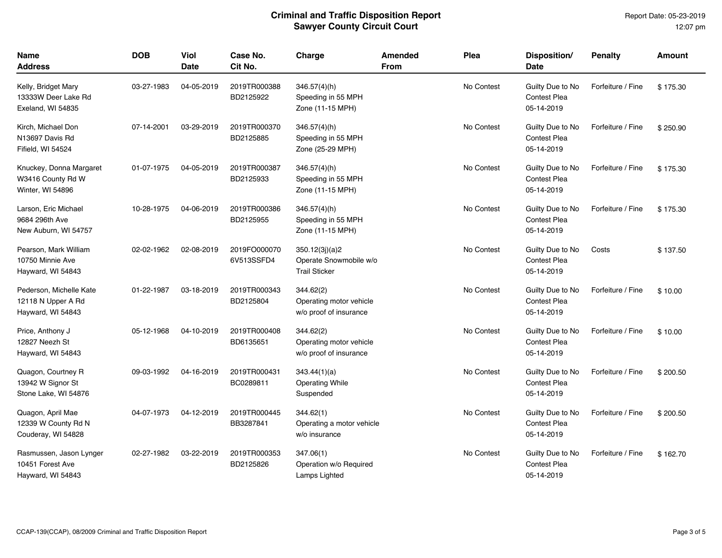| Name<br>Address                                                    | <b>DOB</b> | Viol<br><b>Date</b> | Case No.<br>Cit No.        | Charge                                                           | <b>Amended</b><br>From | Plea       | Disposition/<br>Date                                  | <b>Penalty</b>    | <b>Amount</b> |
|--------------------------------------------------------------------|------------|---------------------|----------------------------|------------------------------------------------------------------|------------------------|------------|-------------------------------------------------------|-------------------|---------------|
| Kelly, Bridget Mary<br>13333W Deer Lake Rd<br>Exeland, WI 54835    | 03-27-1983 | 04-05-2019          | 2019TR000388<br>BD2125922  | $346.57(4)$ (h)<br>Speeding in 55 MPH<br>Zone (11-15 MPH)        |                        | No Contest | Guilty Due to No<br><b>Contest Plea</b><br>05-14-2019 | Forfeiture / Fine | \$175.30      |
| Kirch, Michael Don<br>N13697 Davis Rd<br>Fifield, WI 54524         | 07-14-2001 | 03-29-2019          | 2019TR000370<br>BD2125885  | $346.57(4)$ (h)<br>Speeding in 55 MPH<br>Zone (25-29 MPH)        |                        | No Contest | Guilty Due to No<br><b>Contest Plea</b><br>05-14-2019 | Forfeiture / Fine | \$250.90      |
| Knuckey, Donna Margaret<br>W3416 County Rd W<br>Winter, WI 54896   | 01-07-1975 | 04-05-2019          | 2019TR000387<br>BD2125933  | $346.57(4)$ (h)<br>Speeding in 55 MPH<br>Zone (11-15 MPH)        |                        | No Contest | Guilty Due to No<br><b>Contest Plea</b><br>05-14-2019 | Forfeiture / Fine | \$175.30      |
| Larson, Eric Michael<br>9684 296th Ave<br>New Auburn, WI 54757     | 10-28-1975 | 04-06-2019          | 2019TR000386<br>BD2125955  | 346.57(4)(h)<br>Speeding in 55 MPH<br>Zone (11-15 MPH)           |                        | No Contest | Guilty Due to No<br><b>Contest Plea</b><br>05-14-2019 | Forfeiture / Fine | \$175.30      |
| Pearson, Mark William<br>10750 Minnie Ave<br>Hayward, WI 54843     | 02-02-1962 | 02-08-2019          | 2019FO000070<br>6V513SSFD4 | 350.12(3j)(a)2<br>Operate Snowmobile w/o<br><b>Trail Sticker</b> |                        | No Contest | Guilty Due to No<br><b>Contest Plea</b><br>05-14-2019 | Costs             | \$137.50      |
| Pederson, Michelle Kate<br>12118 N Upper A Rd<br>Hayward, WI 54843 | 01-22-1987 | 03-18-2019          | 2019TR000343<br>BD2125804  | 344.62(2)<br>Operating motor vehicle<br>w/o proof of insurance   |                        | No Contest | Guilty Due to No<br><b>Contest Plea</b><br>05-14-2019 | Forfeiture / Fine | \$10.00       |
| Price, Anthony J<br>12827 Neezh St<br>Hayward, WI 54843            | 05-12-1968 | 04-10-2019          | 2019TR000408<br>BD6135651  | 344.62(2)<br>Operating motor vehicle<br>w/o proof of insurance   |                        | No Contest | Guilty Due to No<br><b>Contest Plea</b><br>05-14-2019 | Forfeiture / Fine | \$10.00       |
| Quagon, Courtney R<br>13942 W Signor St<br>Stone Lake, WI 54876    | 09-03-1992 | 04-16-2019          | 2019TR000431<br>BC0289811  | 343.44(1)(a)<br><b>Operating While</b><br>Suspended              |                        | No Contest | Guilty Due to No<br><b>Contest Plea</b><br>05-14-2019 | Forfeiture / Fine | \$200.50      |
| Quagon, April Mae<br>12339 W County Rd N<br>Couderay, WI 54828     | 04-07-1973 | 04-12-2019          | 2019TR000445<br>BB3287841  | 344.62(1)<br>Operating a motor vehicle<br>w/o insurance          |                        | No Contest | Guilty Due to No<br><b>Contest Plea</b><br>05-14-2019 | Forfeiture / Fine | \$200.50      |
| Rasmussen, Jason Lynger<br>10451 Forest Ave<br>Hayward, WI 54843   | 02-27-1982 | 03-22-2019          | 2019TR000353<br>BD2125826  | 347.06(1)<br>Operation w/o Required<br>Lamps Lighted             |                        | No Contest | Guilty Due to No<br>Contest Plea<br>05-14-2019        | Forfeiture / Fine | \$162.70      |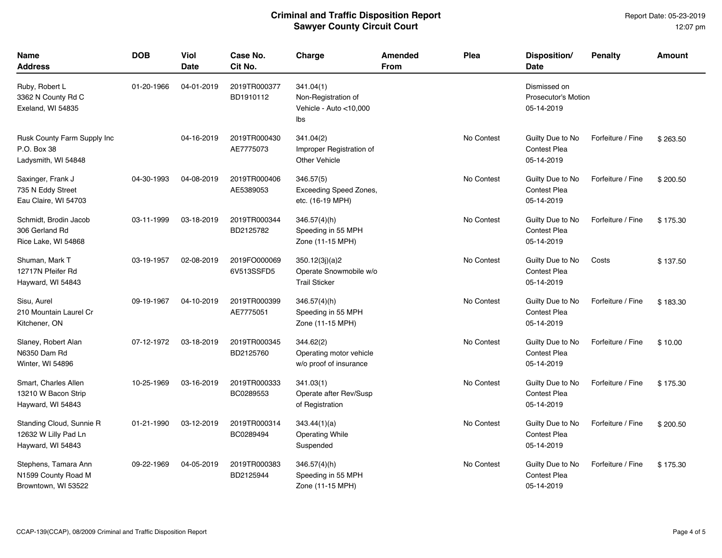| <b>Name</b><br><b>Address</b>                                         | <b>DOB</b> | Viol<br>Date | Case No.<br>Cit No.        | Charge                                                            | Amended<br>From | Plea       | Disposition/<br><b>Date</b>                              | <b>Penalty</b>    | Amount   |
|-----------------------------------------------------------------------|------------|--------------|----------------------------|-------------------------------------------------------------------|-----------------|------------|----------------------------------------------------------|-------------------|----------|
| Ruby, Robert L<br>3362 N County Rd C<br>Exeland, WI 54835             | 01-20-1966 | 04-01-2019   | 2019TR000377<br>BD1910112  | 341.04(1)<br>Non-Registration of<br>Vehicle - Auto <10,000<br>lbs |                 |            | Dismissed on<br><b>Prosecutor's Motion</b><br>05-14-2019 |                   |          |
| Rusk County Farm Supply Inc<br>P.O. Box 38<br>Ladysmith, WI 54848     |            | 04-16-2019   | 2019TR000430<br>AE7775073  | 341.04(2)<br>Improper Registration of<br><b>Other Vehicle</b>     |                 | No Contest | Guilty Due to No<br><b>Contest Plea</b><br>05-14-2019    | Forfeiture / Fine | \$263.50 |
| Saxinger, Frank J<br>735 N Eddy Street<br>Eau Claire, WI 54703        | 04-30-1993 | 04-08-2019   | 2019TR000406<br>AE5389053  | 346.57(5)<br>Exceeding Speed Zones,<br>etc. (16-19 MPH)           |                 | No Contest | Guilty Due to No<br>Contest Plea<br>05-14-2019           | Forfeiture / Fine | \$200.50 |
| Schmidt, Brodin Jacob<br>306 Gerland Rd<br>Rice Lake, WI 54868        | 03-11-1999 | 03-18-2019   | 2019TR000344<br>BD2125782  | $346.57(4)$ (h)<br>Speeding in 55 MPH<br>Zone (11-15 MPH)         |                 | No Contest | Guilty Due to No<br><b>Contest Plea</b><br>05-14-2019    | Forfeiture / Fine | \$175.30 |
| Shuman, Mark T<br>12717N Pfeifer Rd<br>Hayward, WI 54843              | 03-19-1957 | 02-08-2019   | 2019FO000069<br>6V513SSFD5 | 350.12(3j)(a)2<br>Operate Snowmobile w/o<br><b>Trail Sticker</b>  |                 | No Contest | Guilty Due to No<br><b>Contest Plea</b><br>05-14-2019    | Costs             | \$137.50 |
| Sisu, Aurel<br>210 Mountain Laurel Cr<br>Kitchener, ON                | 09-19-1967 | 04-10-2019   | 2019TR000399<br>AE7775051  | 346.57(4)(h)<br>Speeding in 55 MPH<br>Zone (11-15 MPH)            |                 | No Contest | Guilty Due to No<br><b>Contest Plea</b><br>05-14-2019    | Forfeiture / Fine | \$183.30 |
| Slaney, Robert Alan<br>N6350 Dam Rd<br>Winter, WI 54896               | 07-12-1972 | 03-18-2019   | 2019TR000345<br>BD2125760  | 344.62(2)<br>Operating motor vehicle<br>w/o proof of insurance    |                 | No Contest | Guilty Due to No<br><b>Contest Plea</b><br>05-14-2019    | Forfeiture / Fine | \$10.00  |
| Smart, Charles Allen<br>13210 W Bacon Strip<br>Hayward, WI 54843      | 10-25-1969 | 03-16-2019   | 2019TR000333<br>BC0289553  | 341.03(1)<br>Operate after Rev/Susp<br>of Registration            |                 | No Contest | Guilty Due to No<br><b>Contest Plea</b><br>05-14-2019    | Forfeiture / Fine | \$175.30 |
| Standing Cloud, Sunnie R<br>12632 W Lilly Pad Ln<br>Hayward, WI 54843 | 01-21-1990 | 03-12-2019   | 2019TR000314<br>BC0289494  | 343.44(1)(a)<br><b>Operating While</b><br>Suspended               |                 | No Contest | Guilty Due to No<br><b>Contest Plea</b><br>05-14-2019    | Forfeiture / Fine | \$200.50 |
| Stephens, Tamara Ann<br>N1599 County Road M<br>Browntown, WI 53522    | 09-22-1969 | 04-05-2019   | 2019TR000383<br>BD2125944  | 346.57(4)(h)<br>Speeding in 55 MPH<br>Zone (11-15 MPH)            |                 | No Contest | Guilty Due to No<br>Contest Plea<br>05-14-2019           | Forfeiture / Fine | \$175.30 |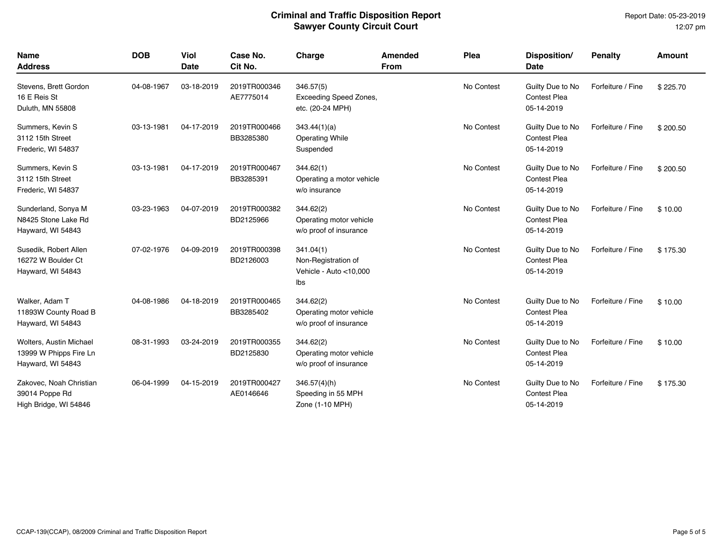| Name<br><b>Address</b>                                                 | <b>DOB</b> | Viol<br><b>Date</b> | Case No.<br>Cit No.       | Charge                                                            | <b>Amended</b><br><b>From</b> | Plea       | Disposition/<br><b>Date</b>                           | <b>Penalty</b>    | <b>Amount</b> |
|------------------------------------------------------------------------|------------|---------------------|---------------------------|-------------------------------------------------------------------|-------------------------------|------------|-------------------------------------------------------|-------------------|---------------|
| Stevens, Brett Gordon<br>16 E Reis St<br>Duluth, MN 55808              | 04-08-1967 | 03-18-2019          | 2019TR000346<br>AE7775014 | 346.57(5)<br><b>Exceeding Speed Zones,</b><br>etc. (20-24 MPH)    |                               | No Contest | Guilty Due to No<br><b>Contest Plea</b><br>05-14-2019 | Forfeiture / Fine | \$225.70      |
| Summers, Kevin S<br>3112 15th Street<br>Frederic, WI 54837             | 03-13-1981 | 04-17-2019          | 2019TR000466<br>BB3285380 | 343.44(1)(a)<br><b>Operating While</b><br>Suspended               |                               | No Contest | Guilty Due to No<br><b>Contest Plea</b><br>05-14-2019 | Forfeiture / Fine | \$200.50      |
| Summers, Kevin S<br>3112 15th Street<br>Frederic, WI 54837             | 03-13-1981 | 04-17-2019          | 2019TR000467<br>BB3285391 | 344.62(1)<br>Operating a motor vehicle<br>w/o insurance           |                               | No Contest | Guilty Due to No<br><b>Contest Plea</b><br>05-14-2019 | Forfeiture / Fine | \$200.50      |
| Sunderland, Sonya M<br>N8425 Stone Lake Rd<br>Hayward, WI 54843        | 03-23-1963 | 04-07-2019          | 2019TR000382<br>BD2125966 | 344.62(2)<br>Operating motor vehicle<br>w/o proof of insurance    |                               | No Contest | Guilty Due to No<br><b>Contest Plea</b><br>05-14-2019 | Forfeiture / Fine | \$10.00       |
| Susedik, Robert Allen<br>16272 W Boulder Ct<br>Hayward, WI 54843       | 07-02-1976 | 04-09-2019          | 2019TR000398<br>BD2126003 | 341.04(1)<br>Non-Registration of<br>Vehicle - Auto <10,000<br>Ibs |                               | No Contest | Guilty Due to No<br><b>Contest Plea</b><br>05-14-2019 | Forfeiture / Fine | \$175.30      |
| Walker, Adam T<br>11893W County Road B<br>Hayward, WI 54843            | 04-08-1986 | 04-18-2019          | 2019TR000465<br>BB3285402 | 344.62(2)<br>Operating motor vehicle<br>w/o proof of insurance    |                               | No Contest | Guilty Due to No<br><b>Contest Plea</b><br>05-14-2019 | Forfeiture / Fine | \$10.00       |
| Wolters, Austin Michael<br>13999 W Phipps Fire Ln<br>Hayward, WI 54843 | 08-31-1993 | 03-24-2019          | 2019TR000355<br>BD2125830 | 344.62(2)<br>Operating motor vehicle<br>w/o proof of insurance    |                               | No Contest | Guilty Due to No<br><b>Contest Plea</b><br>05-14-2019 | Forfeiture / Fine | \$10.00       |
| Zakovec, Noah Christian<br>39014 Poppe Rd<br>High Bridge, WI 54846     | 06-04-1999 | 04-15-2019          | 2019TR000427<br>AE0146646 | $346.57(4)$ (h)<br>Speeding in 55 MPH<br>Zone (1-10 MPH)          |                               | No Contest | Guilty Due to No<br><b>Contest Plea</b><br>05-14-2019 | Forfeiture / Fine | \$175.30      |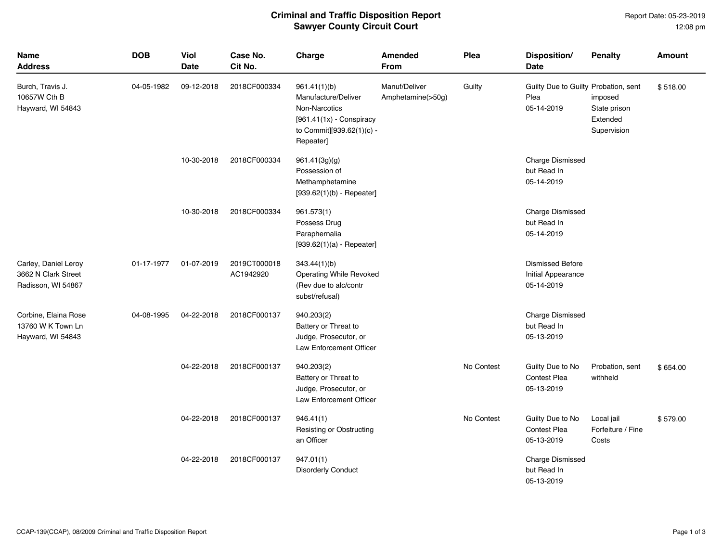Report Date: 05-23-2019 12:08 pm

| <b>Name</b><br>Address                                            | <b>DOB</b> | Viol<br>Date | Case No.<br>Cit No.       | Charge                                                                                                                              | <b>Amended</b><br><b>From</b>      | Plea       | Disposition/<br><b>Date</b>                                 | <b>Penalty</b>                                     | <b>Amount</b> |
|-------------------------------------------------------------------|------------|--------------|---------------------------|-------------------------------------------------------------------------------------------------------------------------------------|------------------------------------|------------|-------------------------------------------------------------|----------------------------------------------------|---------------|
| Burch, Travis J.<br>10657W Cth B<br>Hayward, WI 54843             | 04-05-1982 | 09-12-2018   | 2018CF000334              | 961.41(1)(b)<br>Manufacture/Deliver<br><b>Non-Narcotics</b><br>$[961.41(1x)$ - Conspiracy<br>to Commit][939.62(1)(c) -<br>Repeater] | Manuf/Deliver<br>Amphetamine(>50g) | Guilty     | Guilty Due to Guilty Probation, sent<br>Plea<br>05-14-2019  | imposed<br>State prison<br>Extended<br>Supervision | \$518.00      |
|                                                                   |            | 10-30-2018   | 2018CF000334              | 961.41(3g)(g)<br>Possession of<br>Methamphetamine<br>$[939.62(1)(b) - Repeated]$                                                    |                                    |            | <b>Charge Dismissed</b><br>but Read In<br>05-14-2019        |                                                    |               |
|                                                                   |            | 10-30-2018   | 2018CF000334              | 961.573(1)<br>Possess Drug<br>Paraphernalia<br>$[939.62(1)(a) - Repeated]$                                                          |                                    |            | <b>Charge Dismissed</b><br>but Read In<br>05-14-2019        |                                                    |               |
| Carley, Daniel Leroy<br>3662 N Clark Street<br>Radisson, WI 54867 | 01-17-1977 | 01-07-2019   | 2019CT000018<br>AC1942920 | 343.44(1)(b)<br>Operating While Revoked<br>(Rev due to alc/contr<br>subst/refusal)                                                  |                                    |            | <b>Dismissed Before</b><br>Initial Appearance<br>05-14-2019 |                                                    |               |
| Corbine, Elaina Rose<br>13760 W K Town Ln<br>Hayward, WI 54843    | 04-08-1995 | 04-22-2018   | 2018CF000137              | 940.203(2)<br>Battery or Threat to<br>Judge, Prosecutor, or<br>Law Enforcement Officer                                              |                                    |            | <b>Charge Dismissed</b><br>but Read In<br>05-13-2019        |                                                    |               |
|                                                                   |            | 04-22-2018   | 2018CF000137              | 940.203(2)<br>Battery or Threat to<br>Judge, Prosecutor, or<br>Law Enforcement Officer                                              |                                    | No Contest | Guilty Due to No<br><b>Contest Plea</b><br>05-13-2019       | Probation, sent<br>withheld                        | \$654.00      |
|                                                                   |            | 04-22-2018   | 2018CF000137              | 946.41(1)<br>Resisting or Obstructing<br>an Officer                                                                                 |                                    | No Contest | Guilty Due to No<br><b>Contest Plea</b><br>05-13-2019       | Local jail<br>Forfeiture / Fine<br>Costs           | \$579.00      |
|                                                                   |            | 04-22-2018   | 2018CF000137              | 947.01(1)<br><b>Disorderly Conduct</b>                                                                                              |                                    |            | <b>Charge Dismissed</b><br>but Read In<br>05-13-2019        |                                                    |               |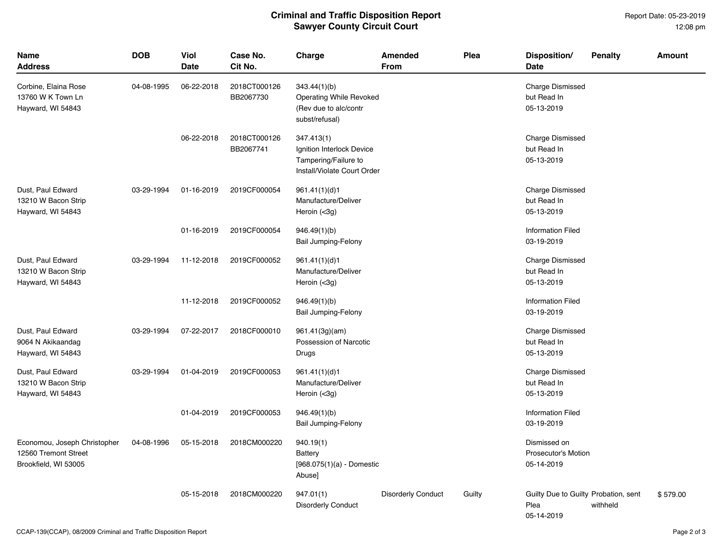Report Date: 05-23-2019 12:08 pm

| Name<br>Address                                                              | <b>DOB</b> | Viol<br>Date | Case No.<br>Cit No.       | Charge                                                                                         | <b>Amended</b><br><b>From</b> | Plea   | Disposition/<br>Date                                       | <b>Penalty</b> | <b>Amount</b> |
|------------------------------------------------------------------------------|------------|--------------|---------------------------|------------------------------------------------------------------------------------------------|-------------------------------|--------|------------------------------------------------------------|----------------|---------------|
| Corbine, Elaina Rose<br>13760 W K Town Ln<br>Hayward, WI 54843               | 04-08-1995 | 06-22-2018   | 2018CT000126<br>BB2067730 | 343.44(1)(b)<br>Operating While Revoked<br>(Rev due to alc/contr<br>subst/refusal)             |                               |        | <b>Charge Dismissed</b><br>but Read In<br>05-13-2019       |                |               |
|                                                                              |            | 06-22-2018   | 2018CT000126<br>BB2067741 | 347.413(1)<br>Ignition Interlock Device<br>Tampering/Failure to<br>Install/Violate Court Order |                               |        | Charge Dismissed<br>but Read In<br>05-13-2019              |                |               |
| Dust, Paul Edward<br>13210 W Bacon Strip<br>Hayward, WI 54843                | 03-29-1994 | 01-16-2019   | 2019CF000054              | 961.41(1)(d)1<br>Manufacture/Deliver<br>Heroin (<3g)                                           |                               |        | <b>Charge Dismissed</b><br>but Read In<br>05-13-2019       |                |               |
|                                                                              |            | 01-16-2019   | 2019CF000054              | 946.49(1)(b)<br><b>Bail Jumping-Felony</b>                                                     |                               |        | <b>Information Filed</b><br>03-19-2019                     |                |               |
| Dust, Paul Edward<br>13210 W Bacon Strip<br>Hayward, WI 54843                | 03-29-1994 | 11-12-2018   | 2019CF000052              | 961.41(1)(d)1<br>Manufacture/Deliver<br>Heroin (<3g)                                           |                               |        | <b>Charge Dismissed</b><br>but Read In<br>05-13-2019       |                |               |
|                                                                              |            | 11-12-2018   | 2019CF000052              | 946.49(1)(b)<br>Bail Jumping-Felony                                                            |                               |        | <b>Information Filed</b><br>03-19-2019                     |                |               |
| Dust, Paul Edward<br>9064 N Akikaandag<br>Hayward, WI 54843                  | 03-29-1994 | 07-22-2017   | 2018CF000010              | 961.41(3g)(am)<br>Possession of Narcotic<br>Drugs                                              |                               |        | <b>Charge Dismissed</b><br>but Read In<br>05-13-2019       |                |               |
| Dust, Paul Edward<br>13210 W Bacon Strip<br>Hayward, WI 54843                | 03-29-1994 | 01-04-2019   | 2019CF000053              | 961.41(1)(d)1<br>Manufacture/Deliver<br>Heroin (<3g)                                           |                               |        | <b>Charge Dismissed</b><br>but Read In<br>05-13-2019       |                |               |
|                                                                              |            | 01-04-2019   | 2019CF000053              | 946.49(1)(b)<br>Bail Jumping-Felony                                                            |                               |        | <b>Information Filed</b><br>03-19-2019                     |                |               |
| Economou, Joseph Christopher<br>12560 Tremont Street<br>Brookfield, WI 53005 | 04-08-1996 | 05-15-2018   | 2018CM000220              | 940.19(1)<br><b>Battery</b><br>$[968.075(1)(a)$ - Domestic<br>Abuse]                           |                               |        | Dismissed on<br>Prosecutor's Motion<br>05-14-2019          |                |               |
|                                                                              |            | 05-15-2018   | 2018CM000220              | 947.01(1)<br><b>Disorderly Conduct</b>                                                         | <b>Disorderly Conduct</b>     | Guilty | Guilty Due to Guilty Probation, sent<br>Plea<br>05-14-2019 | withheld       | \$579.00      |